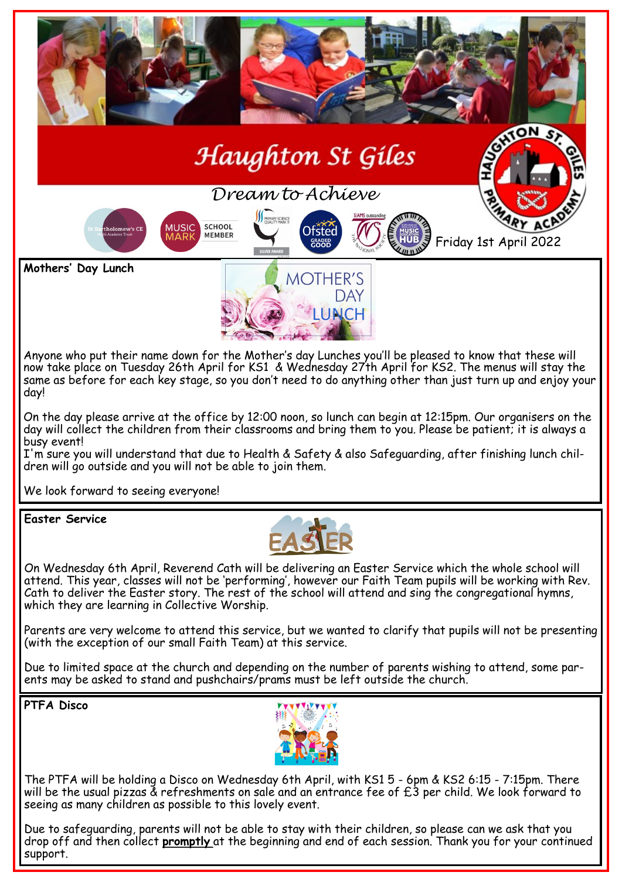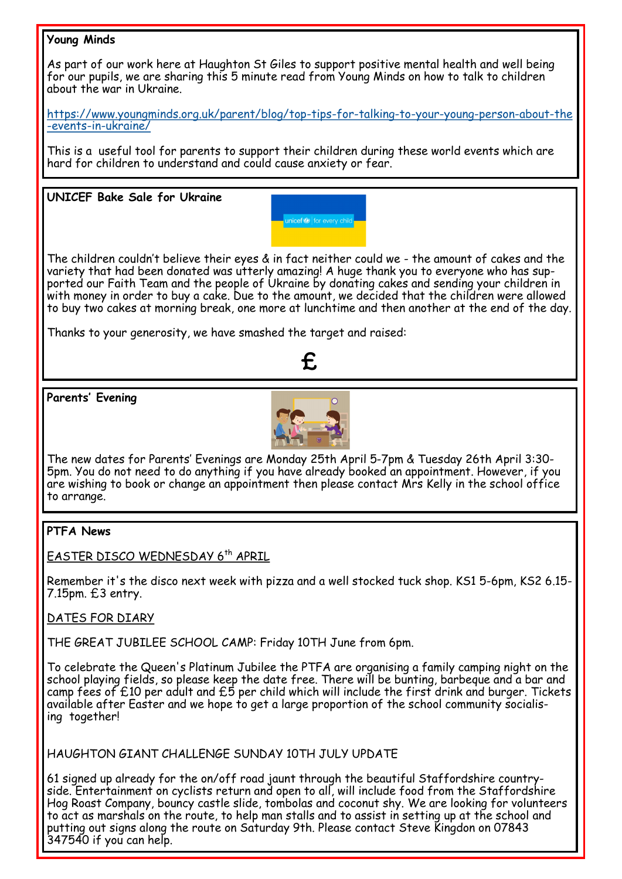# **Young Minds**



[https://www.youngminds.org.uk/parent/blog/top](https://www.youngminds.org.uk/parent/blog/top-tips-for-talking-to-your-young-person-about-the-events-in-ukraine/)-tips-for-talking-to-your-young-person-about-the -events-in-[ukraine/](https://www.youngminds.org.uk/parent/blog/top-tips-for-talking-to-your-young-person-about-the-events-in-ukraine/)

This is a useful tool for parents to support their children during these world events which are hard for children to understand and could cause anxiety or fear.

#### **UNICEF Bake Sale for Ukraine**



The children couldn't believe their eyes & in fact neither could we - the amount of cakes and the variety that had been donated was utterly amazing! A huge thank you to everyone who has supported our Faith Team and the people of Ukraine by donating cakes and sending your children in with money in order to buy a cake. Due to the amount, we decided that the children were allowed to buy two cakes at morning break, one more at lunchtime and then another at the end of the day.

Thanks to your generosity, we have smashed the target and raised:



**Parents' Evening**



The new dates for Parents' Evenings are Monday 25th April 5-7pm & Tuesday 26th April 3:30- 5pm. You do not need to do anything if you have already booked an appointment. However, if you are wishing to book or change an appointment then please contact Mrs Kelly in the school office to arrange.

## **PTFA News**

EASTER DISCO WEDNESDAY 6<sup>th</sup> APRIL

Remember it's the disco next week with pizza and a well stocked tuck shop. KS1 5-6pm, KS2 6.15- 7.15pm. £3 entry.

## DATES FOR DIARY

THE GREAT JUBILEE SCHOOL CAMP: Friday 10TH June from 6pm.

To celebrate the Queen's Platinum Jubilee the PTFA are organising a family camping night on the school playing fields, so please keep the date free. There will be bunting, barbeque and a bar and camp fees of £10 per adult and £5 per child which will include the first drink and burger. Tickets available after Easter and we hope to get a large proportion of the school community socialising together!

HAUGHTON GIANT CHALLENGE SUNDAY 10TH JULY UPDATE

61 signed up already for the on/off road jaunt through the beautiful Staffordshire countryside. Entertainment on cyclists return and open to all, will include food from the Staffordshire Hog Roast Company, bouncy castle slide, tombolas and coconut shy. We are looking for volunteers to act as marshals on the route, to help man stalls and to assist in setting up at the school and putting out signs along the route on Saturday 9th. Please contact Steve Kingdon on 07843 347540 if you can help.